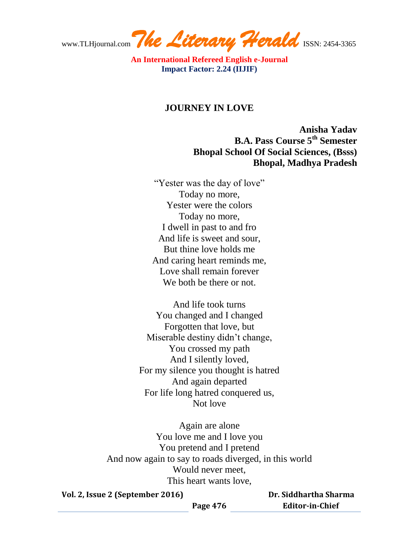www.TLHjournal.com The Literary Herald ISSN: 2454-3365

## **JOURNEY IN LOVE**

**Anisha Yadav B.A. Pass Course 5th Semester Bhopal School Of Social Sciences, (Bsss) Bhopal, Madhya Pradesh**

"Yester was the day of love" Today no more, Yester were the colors Today no more, I dwell in past to and fro And life is sweet and sour, But thine love holds me And caring heart reminds me, Love shall remain forever We both be there or not.

And life took turns You changed and I changed Forgotten that love, but Miserable destiny didn't change, You crossed my path And I silently loved, For my silence you thought is hatred And again departed For life long hatred conquered us, Not love

Again are alone You love me and I love you You pretend and I pretend And now again to say to roads diverged, in this world Would never meet, This heart wants love,

**Vol. 2, Issue 2 (September 2016)**

 **Dr. Siddhartha Sharma Editor-in-Chief**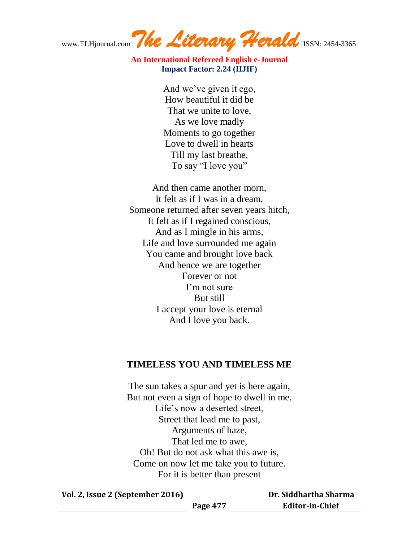www.TLHjournal.com The Literary Herald ISSN: 2454-3365

> And we've given it ego, How beautiful it did be That we unite to love, As we love madly Moments to go together Love to dwell in hearts Till my last breathe, To say "I love you"

And then came another morn, It felt as if I was in a dream, Someone returned after seven years hitch, It felt as if I regained conscious, And as I mingle in his arms, Life and love surrounded me again You came and brought love back And hence we are together Forever or not I'm not sure But still I accept your love is eternal And I love you back.

## **TIMELESS YOU AND TIMELESS ME**

The sun takes a spur and yet is here again, But not even a sign of hope to dwell in me. Life's now a deserted street, Street that lead me to past, Arguments of haze, That led me to awe, Oh! But do not ask what this awe is, Come on now let me take you to future. For it is better than present

**Vol. 2, Issue 2 (September 2016)**

 **Dr. Siddhartha Sharma Editor-in-Chief**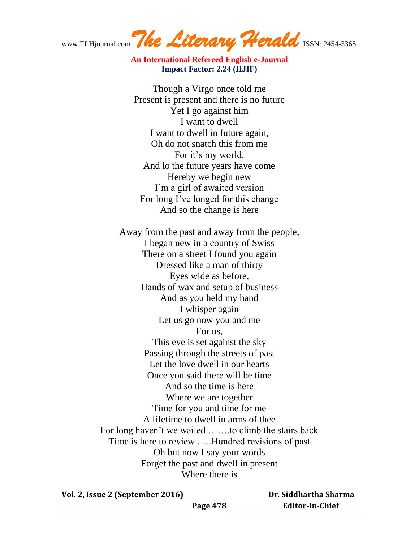www.TLHjournal.com The Literary Herald ISSN: 2454-3365

Though a Virgo once told me Present is present and there is no future Yet I go against him I want to dwell I want to dwell in future again, Oh do not snatch this from me For it's my world. And lo the future years have come Hereby we begin new I'm a girl of awaited version For long I've longed for this change And so the change is here

Away from the past and away from the people, I began new in a country of Swiss There on a street I found you again Dressed like a man of thirty Eyes wide as before, Hands of wax and setup of business And as you held my hand I whisper again Let us go now you and me For us, This eve is set against the sky Passing through the streets of past Let the love dwell in our hearts Once you said there will be time And so the time is here Where we are together Time for you and time for me A lifetime to dwell in arms of thee For long haven't we waited …….to climb the stairs back Time is here to review …..Hundred revisions of past Oh but now I say your words Forget the past and dwell in present Where there is

**Vol. 2, Issue 2 (September 2016)**

 **Dr. Siddhartha Sharma Editor-in-Chief**